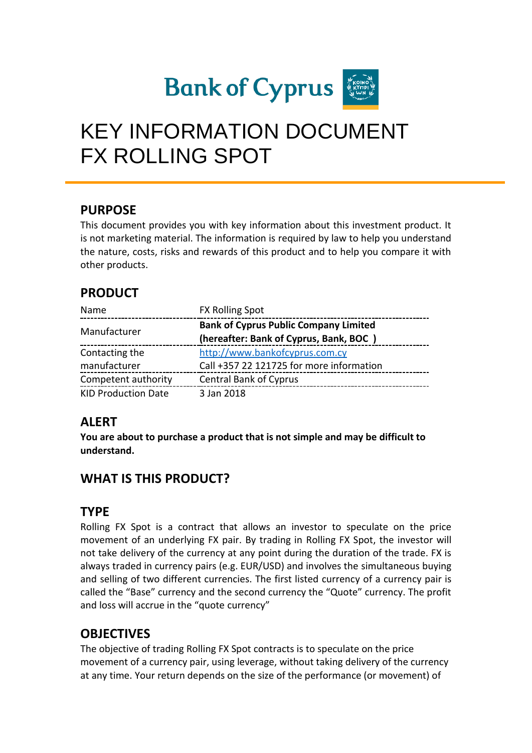

# KEY INFORMATION DOCUMENT FX ROLLING SPOT

#### **PURPOSE**

This document provides you with key information about this investment product. It is not marketing material. The information is required by law to help you understand the nature, costs, risks and rewards of this product and to help you compare it with other products.

## **PRODUCT**

| Name                       | <b>FX Rolling Spot</b>                       |
|----------------------------|----------------------------------------------|
| Manufacturer               | <b>Bank of Cyprus Public Company Limited</b> |
|                            | (hereafter: Bank of Cyprus, Bank, BOC)       |
| Contacting the             | http://www.bankofcyprus.com.cy               |
| manufacturer               | Call +357 22 121725 for more information     |
| Competent authority        | <b>Central Bank of Cyprus</b>                |
| <b>KID Production Date</b> | 3 Jan 2018                                   |

#### **ALERT**

**You are about to purchase a product that is not simple and may be difficult to understand.**

## **WHAT IS THIS PRODUCT?**

#### **TYPE**

Rolling FX Spot is a contract that allows an investor to speculate on the price movement of an underlying FX pair. By trading in Rolling FX Spot, the investor will not take delivery of the currency at any point during the duration of the trade. FX is always traded in currency pairs (e.g. EUR/USD) and involves the simultaneous buying and selling of two different currencies. The first listed currency of a currency pair is called the "Base" currency and the second currency the "Quote" currency. The profit and loss will accrue in the "quote currency"

## **OBJECTIVES**

The objective of trading Rolling FX Spot contracts is to speculate on the price movement of a currency pair, using leverage, without taking delivery of the currency at any time. Your return depends on the size of the performance (or movement) of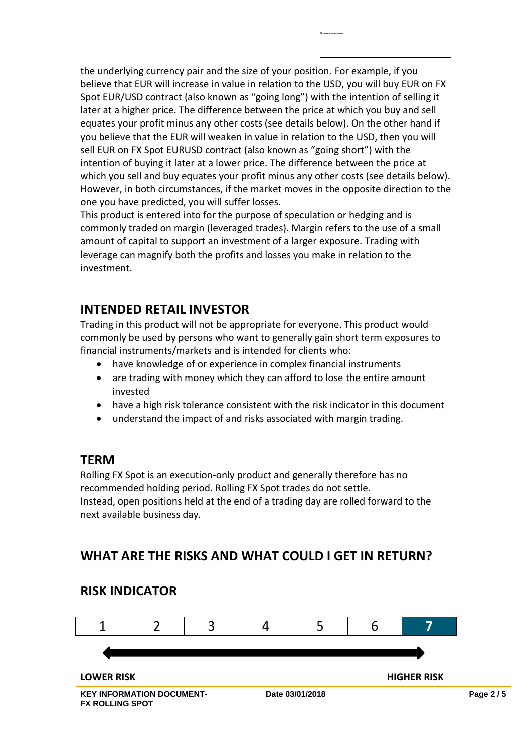the underlying currency pair and the size of your position. For example, if you believe that EUR will increase in value in relation to the USD, you will buy EUR on FX Spot EUR/USD contract (also known as "going long") with the intention of selling it later at a higher price. The difference between the price at which you buy and sell equates your profit minus any other costs (see details below). On the other hand if you believe that the EUR will weaken in value in relation to the USD, then you will sell EUR on FX Spot EURUSD contract (also known as "going short") with the intention of buying it later at a lower price. The difference between the price at which you sell and buy equates your profit minus any other costs (see details below). However, in both circumstances, if the market moves in the opposite direction to the one you have predicted, you will suffer losses.

This product is entered into for the purpose of speculation or hedging and is commonly traded on margin (leveraged trades). Margin refers to the use of a small amount of capital to support an investment of a larger exposure. Trading with leverage can magnify both the profits and losses you make in relation to the investment.

## **INTENDED RETAIL INVESTOR**

Trading in this product will not be appropriate for everyone. This product would commonly be used by persons who want to generally gain short term exposures to financial instruments/markets and is intended for clients who:

- have knowledge of or experience in complex financial instruments
- are trading with money which they can afford to lose the entire amount invested
- have a high risk tolerance consistent with the risk indicator in this document
- understand the impact of and risks associated with margin trading.

#### **TERM**

Rolling FX Spot is an execution-only product and generally therefore has no recommended holding period. Rolling FX Spot trades do not settle. Instead, open positions held at the end of a trading day are rolled forward to the next available business day.

## **WHAT ARE THE RISKS AND WHAT COULD I GET IN RETURN?**



#### **RISK INDICATOR**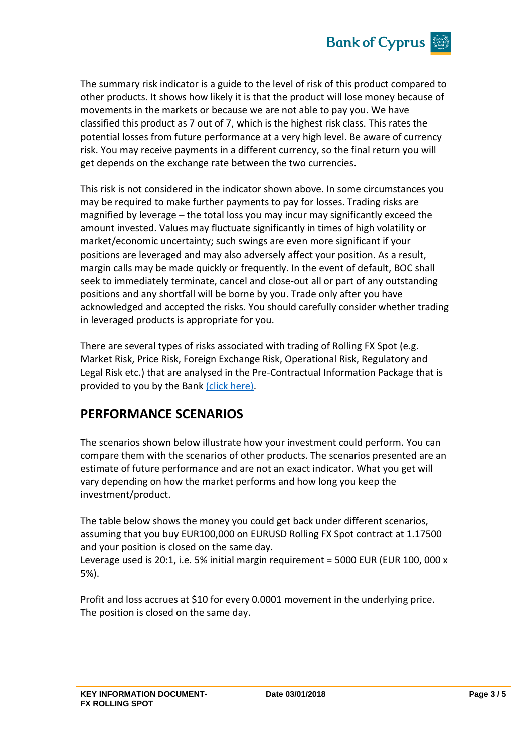

The summary risk indicator is a guide to the level of risk of this product compared to other products. It shows how likely it is that the product will lose money because of movements in the markets or because we are not able to pay you. We have classified this product as 7 out of 7, which is the highest risk class. This rates the potential losses from future performance at a very high level. Be aware of currency risk. You may receive payments in a different currency, so the final return you will get depends on the exchange rate between the two currencies.

This risk is not considered in the indicator shown above. In some circumstances you may be required to make further payments to pay for losses. Trading risks are magnified by leverage – the total loss you may incur may significantly exceed the amount invested. Values may fluctuate significantly in times of high volatility or market/economic uncertainty; such swings are even more significant if your positions are leveraged and may also adversely affect your position. As a result, margin calls may be made quickly or frequently. In the event of default, BOC shall seek to immediately terminate, cancel and close-out all or part of any outstanding positions and any shortfall will be borne by you. Trade only after you have acknowledged and accepted the risks. You should carefully consider whether trading in leveraged products is appropriate for you.

There are several types of risks associated with trading of Rolling FX Spot (e.g. Market Risk, Price Risk, Foreign Exchange Risk, Operational Risk, Regulatory and Legal Risk etc.) that are analysed in the Pre-Contractual Information Package that is provided to you by the Bank [\(click here\).](https://www.bankofcyprus.com.cy/globalassets/wealth/mifid-ii/mifid-pre-contractual-information-package_en_final-doc_062019_web.pdf)

#### **PERFORMANCE SCENARIOS**

The scenarios shown below illustrate how your investment could perform. You can compare them with the scenarios of other products. The scenarios presented are an estimate of future performance and are not an exact indicator. What you get will vary depending on how the market performs and how long you keep the investment/product.

The table below shows the money you could get back under different scenarios, assuming that you buy EUR100,000 on EURUSD Rolling FX Spot contract at 1.17500 and your position is closed on the same day. Leverage used is 20:1, i.e. 5% initial margin requirement = 5000 EUR (EUR 100, 000 x 5%).

Profit and loss accrues at \$10 for every 0.0001 movement in the underlying price. The position is closed on the same day.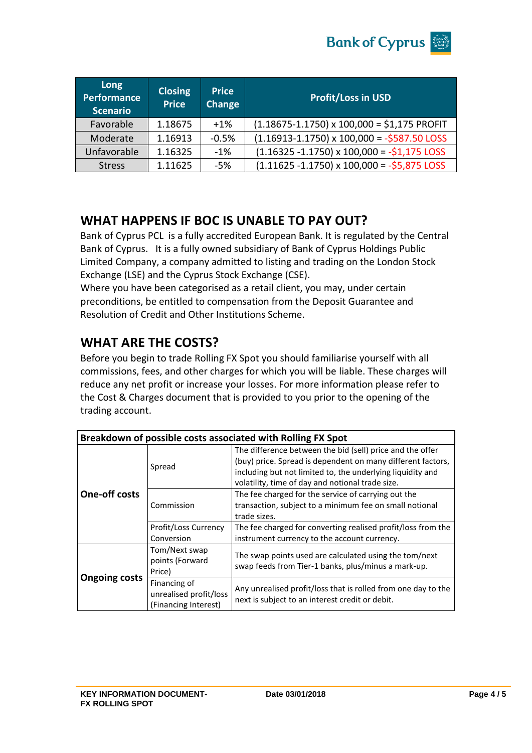

| Long<br>Performance<br><b>Scenario</b> | <b>Closing</b><br><b>Price</b> | <b>Price</b><br>Change | <b>Profit/Loss in USD</b>                                    |
|----------------------------------------|--------------------------------|------------------------|--------------------------------------------------------------|
| Favorable                              | 1.18675                        | $+1%$                  | $(1.18675 - 1.1750)$ x 100,000 = \$1,175 PROFIT              |
| Moderate                               | 1.16913                        | $-0.5%$                | $(1.16913 - 1.1750) \times 100,000 = -5587.50$ LOSS          |
| Unfavorable                            | 1.16325                        | $-1\%$                 | $(1.16325 - 1.1750) \times 100,000 = -\frac{1}{2}1,175$ LOSS |
| <b>Stress</b>                          | 1.11625                        | $-5%$                  | $(1.11625 - 1.1750) \times 100,000 = -55,875$ LOSS           |

#### **WHAT HAPPENS IF BOC IS UNABLE TO PAY OUT?**

Bank of Cyprus PCL is a fully accredited European Bank. It is regulated by the Central Bank of Cyprus. It is a fully owned subsidiary of Bank of Cyprus Holdings Public Limited Company, a company admitted to listing and trading on the London Stock Exchange (LSE) and the Cyprus Stock Exchange (CSE).

Where you have been categorised as a retail client, you may, under certain preconditions, be entitled to compensation from the Deposit Guarantee and Resolution of Credit and Other Institutions Scheme.

## **WHAT ARE THE COSTS?**

Before you begin to trade Rolling FX Spot you should familiarise yourself with all commissions, fees, and other charges for which you will be liable. These charges will reduce any net profit or increase your losses. For more information please refer to the Cost & Charges document that is provided to you prior to the opening of the trading account.

| Breakdown of possible costs associated with Rolling FX Spot |                                                                |                                                                                                                                                                                                                                            |  |  |
|-------------------------------------------------------------|----------------------------------------------------------------|--------------------------------------------------------------------------------------------------------------------------------------------------------------------------------------------------------------------------------------------|--|--|
| <b>One-off costs</b>                                        | Spread                                                         | The difference between the bid (sell) price and the offer<br>(buy) price. Spread is dependent on many different factors,<br>including but not limited to, the underlying liquidity and<br>volatility, time of day and notional trade size. |  |  |
|                                                             | Commission                                                     | The fee charged for the service of carrying out the<br>transaction, subject to a minimum fee on small notional<br>trade sizes.                                                                                                             |  |  |
|                                                             | Profit/Loss Currency<br>Conversion                             | The fee charged for converting realised profit/loss from the<br>instrument currency to the account currency.                                                                                                                               |  |  |
| <b>Ongoing costs</b>                                        | Tom/Next swap<br>points (Forward<br>Price)                     | The swap points used are calculated using the tom/next<br>swap feeds from Tier-1 banks, plus/minus a mark-up.                                                                                                                              |  |  |
|                                                             | Financing of<br>unrealised profit/loss<br>(Financing Interest) | Any unrealised profit/loss that is rolled from one day to the<br>next is subject to an interest credit or debit.                                                                                                                           |  |  |